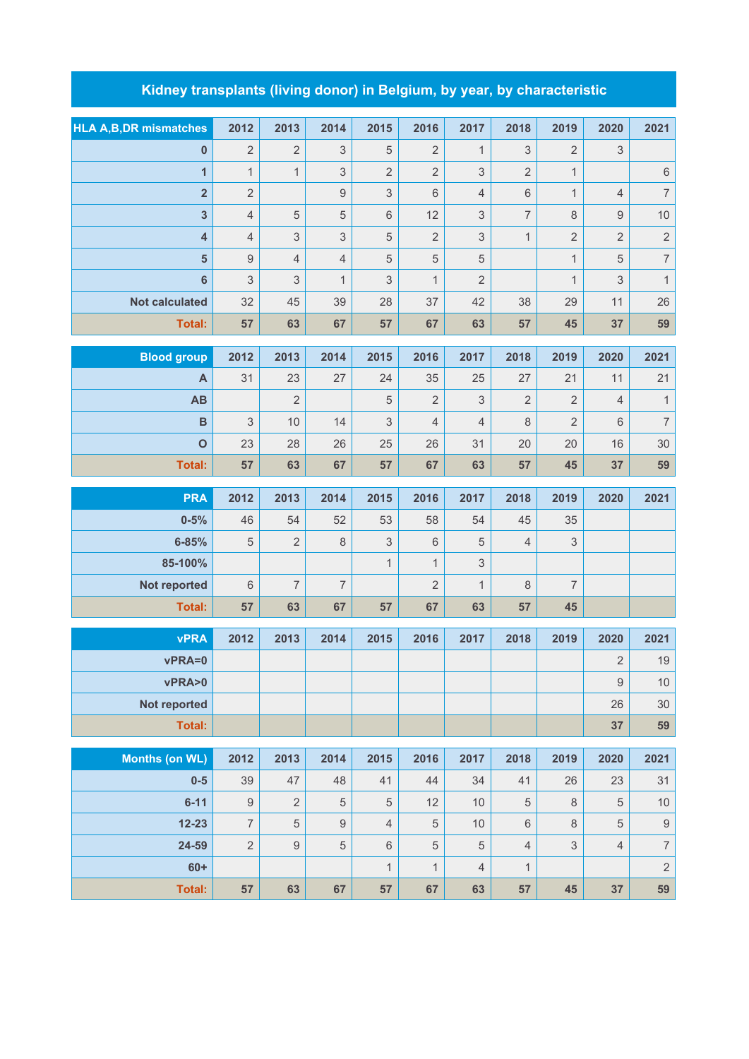## **Kidney transplants (living donor) in Belgium, by year, by characteristic**

| <b>HLA A, B, DR mismatches</b> | 2012             | 2013           | 2014             | 2015           | 2016                 | 2017           | 2018                      | 2019           | 2020             | 2021             |
|--------------------------------|------------------|----------------|------------------|----------------|----------------------|----------------|---------------------------|----------------|------------------|------------------|
| $\pmb{0}$                      | $\overline{2}$   | $\overline{2}$ | 3                | 5              | $\overline{2}$       | $\mathbf{1}$   | $\ensuremath{\mathsf{3}}$ | $\overline{2}$ | 3                |                  |
| $\mathbf{1}$                   | $\mathbf{1}$     | $\mathbf{1}$   | 3                | $\overline{2}$ | $\overline{2}$       | 3              | $\overline{2}$            | $\mathbf{1}$   |                  | $\,$ 6 $\,$      |
| $\overline{\mathbf{2}}$        | $\overline{2}$   |                | $\boldsymbol{9}$ | 3              | $\,6\,$              | $\overline{4}$ | $\,6$                     | $\mathbf{1}$   | 4                | $\overline{7}$   |
| $\mathbf{3}$                   | $\overline{4}$   | 5              | 5                | 6              | 12                   | 3              | $\overline{7}$            | $\,8\,$        | 9                | 10               |
| $\overline{\mathbf{4}}$        | $\overline{4}$   | 3              | 3                | 5              | $\overline{2}$       | 3              | $\mathbf{1}$              | $\overline{2}$ | $\overline{c}$   | $\overline{c}$   |
| $\overline{\mathbf{5}}$        | $\mathsf g$      | $\overline{4}$ | $\overline{4}$   | 5              | $\overline{5}$       | 5              |                           | $\mathbf{1}$   | 5                | $\overline{7}$   |
| $\bf 6$                        | 3                | 3              | $\mathbf{1}$     | 3              | $\mathbf{1}$         | $\overline{2}$ |                           | $\mathbf{1}$   | 3                | $\mathbf{1}$     |
| <b>Not calculated</b>          | 32               | 45             | 39               | 28             | 37                   | 42             | 38                        | 29             | 11               | 26               |
| Total:                         | 57               | 63             | 67               | 57             | 67                   | 63             | 57                        | 45             | 37               | 59               |
| <b>Blood group</b>             | 2012             | 2013           | 2014             | 2015           | 2016                 | 2017           | 2018                      | 2019           | 2020             | 2021             |
|                                | 31               | 23             |                  | 24             |                      |                |                           | 21             | 11               | 21               |
| A<br>AB                        |                  | $\overline{2}$ | 27               | 5              | 35<br>$\overline{2}$ | 25<br>3        | 27<br>$\overline{2}$      | $\overline{2}$ | $\overline{4}$   | $\mathbf{1}$     |
|                                |                  |                |                  |                | $\overline{4}$       |                |                           |                |                  | $\overline{7}$   |
| $\mathbf B$                    | 3                | 10             | 14               | 3              |                      | $\overline{4}$ | 8                         | $\overline{2}$ | 6                |                  |
| $\mathbf{o}$                   | 23               | 28             | 26               | 25             | 26                   | 31             | 20                        | 20             | 16               | 30               |
| <b>Total:</b>                  | 57               | 63             | 67               | 57             | 67                   | 63             | 57                        | 45             | 37               | 59               |
|                                |                  |                |                  |                |                      |                |                           |                |                  |                  |
| <b>PRA</b>                     | 2012             | 2013           | 2014             | 2015           | 2016                 | 2017           | 2018                      | 2019           | 2020             | 2021             |
| $0 - 5%$                       | 46               | 54             | 52               | 53             | 58                   | 54             | 45                        | 35             |                  |                  |
| $6 - 85%$                      | 5                | $\overline{2}$ | $\,8\,$          | 3              | $6\,$                | 5              | $\overline{4}$            | 3              |                  |                  |
| 85-100%                        |                  |                |                  | $\mathbf{1}$   | $\mathbf{1}$         | 3              |                           |                |                  |                  |
| Not reported                   | $6\phantom{1}$   | $\overline{7}$ | $\overline{7}$   |                | $\overline{2}$       | $\mathbf{1}$   | 8                         | $\overline{7}$ |                  |                  |
| <b>Total:</b>                  | 57               | 63             | 67               | 57             | 67                   | 63             | 57                        | 45             |                  |                  |
|                                |                  |                |                  |                |                      |                |                           |                |                  |                  |
| <b>vPRA</b>                    | 2012             | 2013           | 2014             | 2015           | 2016                 | 2017           | 2018                      | 2019           | 2020             | 2021             |
| vPRA=0                         |                  |                |                  |                |                      |                |                           |                | $\overline{2}$   | 19               |
| vPRA>0                         |                  |                |                  |                |                      |                |                           |                | $\boldsymbol{9}$ | $10$             |
| <b>Not reported</b>            |                  |                |                  |                |                      |                |                           |                | 26               | 30               |
| <b>Total:</b>                  |                  |                |                  |                |                      |                |                           |                | 37               | 59               |
| <b>Months (on WL)</b>          | 2012             | 2013           | 2014             | 2015           | 2016                 | 2017           | 2018                      | 2019           | 2020             | 2021             |
| $0-5$                          | 39               | 47             | 48               | 41             | 44                   | 34             | 41                        | 26             | 23               | 31               |
| $6 - 11$                       | $\boldsymbol{9}$ | $\overline{2}$ | 5                | 5              | 12                   | 10             | $\sqrt{5}$                | $\,8\,$        | 5                | $10$             |
| $12 - 23$                      | $\overline{7}$   | $\sqrt{5}$     | $\hbox{9}$       | $\overline{4}$ | $\mathbf 5$          | 10             | $\,6\,$                   | $\,8\,$        | 5                | $\boldsymbol{9}$ |

**60+** 1 1 4 1 2 **Total: 57 63 67 57 67 63 57 45 37 59**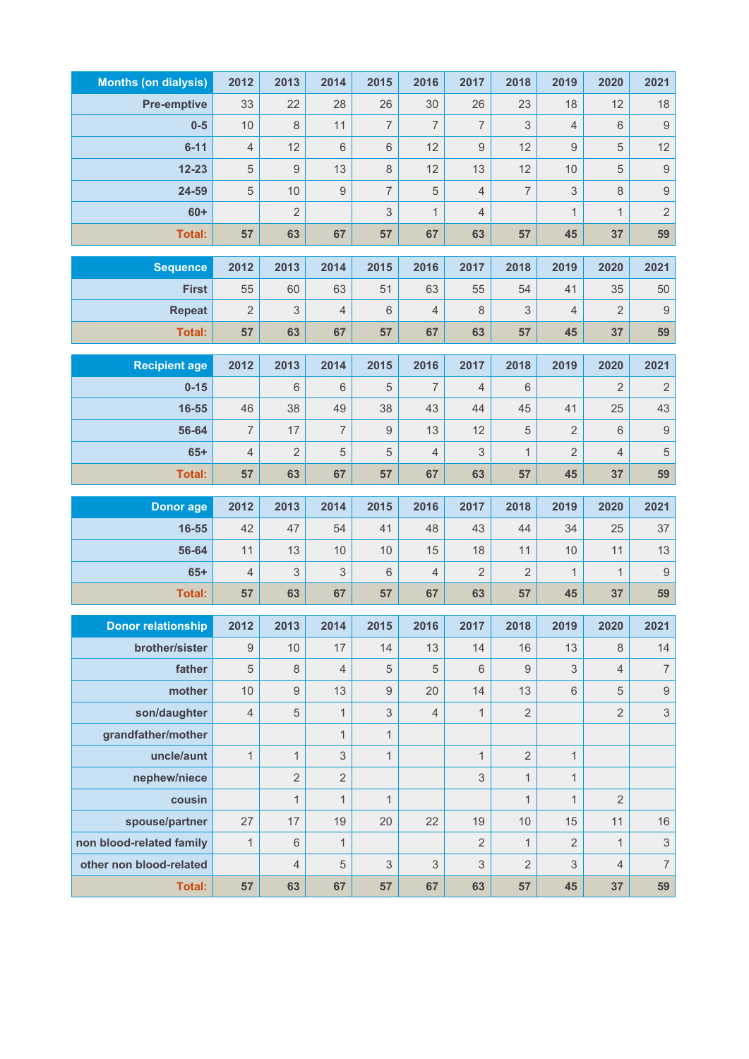| <b>Months (on dialysis)</b> | 2012           | 2013             | 2014           | 2015             | 2016           | 2017                      | 2018             | 2019             | 2020           | 2021                      |
|-----------------------------|----------------|------------------|----------------|------------------|----------------|---------------------------|------------------|------------------|----------------|---------------------------|
| <b>Pre-emptive</b>          | 33             | 22               | 28             | 26               | 30             | 26                        | 23               | 18               | 12             | 18                        |
| $0-5$                       | $10$           | $\,8\,$          | 11             | $\overline{7}$   | $\overline{7}$ | $\overline{7}$            | 3                | $\overline{4}$   | $\,6\,$        | $\boldsymbol{9}$          |
| $6 - 11$                    | $\overline{4}$ | 12               | $6\,$          | $\,6$            | 12             | $\boldsymbol{9}$          | 12               | $\boldsymbol{9}$ | 5              | 12                        |
| $12 - 23$                   | $\,$ 5 $\,$    | $\boldsymbol{9}$ | 13             | $\,8\,$          | 12             | 13                        | 12               | 10               | 5              | $\boldsymbol{9}$          |
| 24-59                       | $\mathbf 5$    | 10               | 9              | $\overline{7}$   | 5              | 4                         | $\overline{7}$   | 3                | $\,8\,$        | $\overline{9}$            |
| $60+$                       |                | $\overline{2}$   |                | 3                | $\mathbf{1}$   | $\overline{4}$            |                  | $\mathbf{1}$     | $\mathbf{1}$   | $\overline{2}$            |
| <b>Total:</b>               | 57             | 63               | 67             | 57               | 67             | 63                        | 57               | 45               | 37             | 59                        |
| <b>Sequence</b>             | 2012           | 2013             | 2014           | 2015             | 2016           | 2017                      | 2018             | 2019             | 2020           | 2021                      |
| <b>First</b>                | 55             | 60               | 63             | 51               | 63             | 55                        | 54               | 41               | 35             | 50                        |
| <b>Repeat</b>               | $\overline{2}$ | 3                | $\overline{4}$ | $6\,$            | $\overline{4}$ | 8                         | 3                | 4                | $\overline{2}$ | $\boldsymbol{9}$          |
| <b>Total:</b>               | 57             | 63               | 67             | 57               | 67             | 63                        | 57               | 45               | 37             | 59                        |
|                             |                |                  |                |                  |                |                           |                  |                  |                |                           |
| <b>Recipient age</b>        | 2012           | 2013             | 2014           | 2015             | 2016           | 2017                      | 2018             | 2019             | 2020           | 2021                      |
| $0 - 15$                    |                | 6                | 6              | 5                | 7              | $\overline{4}$            | $6\,$            |                  | 2              | $\sqrt{2}$                |
| 16-55                       | 46             | 38               | 49             | 38               | 43             | 44                        | 45               | 41               | 25             | 43                        |
| 56-64                       | $\overline{7}$ | 17               | $\overline{7}$ | $9\,$            | 13             | 12                        | $\sqrt{5}$       | $\overline{2}$   | $\,6$          | $\boldsymbol{9}$          |
| $65+$                       | $\sqrt{4}$     | $\overline{2}$   | 5              | 5                | $\overline{4}$ | $\ensuremath{\mathsf{3}}$ | $\mathbf{1}$     | $\overline{2}$   | $\overline{4}$ | $\sqrt{5}$                |
| <b>Total:</b>               | 57             | 63               | 67             | 57               | 67             | 63                        | 57               | 45               | 37             | 59                        |
|                             |                |                  |                |                  |                |                           |                  |                  |                |                           |
| <b>Donor</b> age            | 2012           | 2013             | 2014           | 2015             | 2016           | 2017                      | 2018             | 2019             | 2020           | 2021                      |
| 16-55                       | 42             | 47               | 54             | 41               | 48             | 43                        | 44               | 34               | 25             | 37                        |
| 56-64                       | 11             | 13               | 10             | 10               | 15             | 18                        | 11               | 10               | 11             | 13                        |
| $65+$                       | $\sqrt{4}$     | $\mathfrak 3$    | 3              | $\,6\,$          | $\sqrt{4}$     | $\overline{2}$            | $\overline{2}$   | $\mathbf{1}$     | $\mathbf{1}$   | $\boldsymbol{9}$          |
| <b>Total:</b>               | 57             | 63               | 67             | 57               | 67             | 63                        | 57               | 45               | 37             | 59                        |
| <b>Donor relationship</b>   | 2012           | 2013             | 2014           | 2015             | 2016           | 2017                      | 2018             | 2019             | 2020           | 2021                      |
| brother/sister              | 9              | 10               | 17             | 14               | 13             | 14                        | 16               | 13               | 8              | 14                        |
| father                      | $\sqrt{5}$     | $\,8\,$          | $\overline{4}$ | $\sqrt{5}$       | $\overline{5}$ | $\,6\,$                   | $\boldsymbol{9}$ | 3                | $\overline{4}$ | $\boldsymbol{7}$          |
| mother                      | 10             | $\boldsymbol{9}$ | 13             | $\boldsymbol{9}$ | 20             | 14                        | 13               | $\,6$            | 5              | $\hbox{9}$                |
| son/daughter                | $\overline{4}$ | $\sqrt{5}$       | 1              | $\mathfrak{S}$   | $\overline{4}$ | $\mathbf{1}$              | $\sqrt{2}$       |                  | 2              | $\ensuremath{\mathsf{3}}$ |
| grandfather/mother          |                |                  | $\mathbf{1}$   | $\mathbf{1}$     |                |                           |                  |                  |                |                           |
| uncle/aunt                  | $\mathbf{1}$   | $\mathbf{1}$     | 3              | $\mathbf{1}$     |                | $\mathbf{1}$              | $\overline{2}$   | $\mathbf{1}$     |                |                           |
| nephew/niece                |                | $\overline{2}$   | $\overline{2}$ |                  |                | 3                         | $\mathbf{1}$     | $\mathbf{1}$     |                |                           |
| cousin                      |                | $\mathbf{1}$     | $\mathbf{1}$   | $\mathbf{1}$     |                |                           | $\mathbf{1}$     | $\mathbf{1}$     | $\overline{2}$ |                           |
| spouse/partner              | 27             | 17               | 19             | 20               | 22             | 19                        | 10               | 15               | 11             | 16                        |
| non blood-related family    | $\mathbf{1}$   | 6                | $\mathbf{1}$   |                  |                | $\overline{2}$            | $\mathbf{1}$     | $\overline{2}$   | $\mathbf{1}$   | $\ensuremath{\mathsf{3}}$ |
| other non blood-related     |                | $\overline{4}$   | $\sqrt{5}$     | $\mathfrak{S}$   | $\mathfrak{S}$ | $\mathfrak 3$             | $\overline{2}$   | 3                | $\overline{4}$ | $\overline{\mathcal{I}}$  |